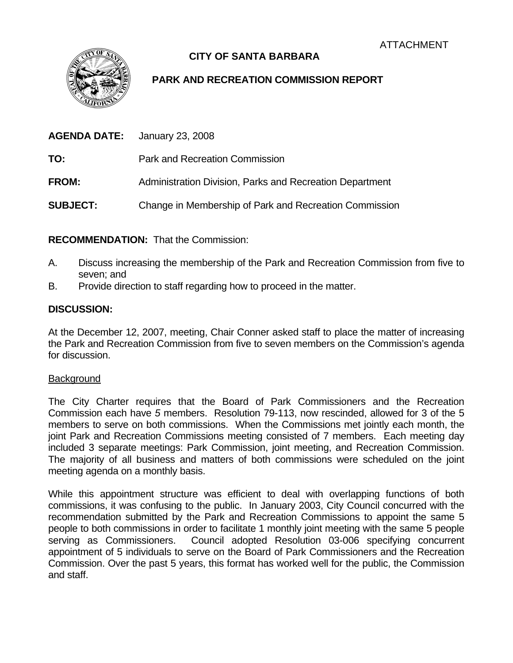

## **CITY OF SANTA BARBARA**

# **PARK AND RECREATION COMMISSION REPORT**

| AGENDA DATE:    | January 23, 2008                                         |
|-----------------|----------------------------------------------------------|
| TO:             | <b>Park and Recreation Commission</b>                    |
| <b>FROM:</b>    | Administration Division, Parks and Recreation Department |
| <b>SUBJECT:</b> | Change in Membership of Park and Recreation Commission   |

**RECOMMENDATION:** That the Commission:

- A. Discuss increasing the membership of the Park and Recreation Commission from five to seven; and
- B. Provide direction to staff regarding how to proceed in the matter.

### **DISCUSSION:**

At the December 12, 2007, meeting, Chair Conner asked staff to place the matter of increasing the Park and Recreation Commission from five to seven members on the Commission's agenda for discussion.

### **Background**

The City Charter requires that the Board of Park Commissioners and the Recreation Commission each have *5* members. Resolution 79-113, now rescinded, allowed for 3 of the 5 members to serve on both commissions. When the Commissions met jointly each month, the joint Park and Recreation Commissions meeting consisted of 7 members. Each meeting day included 3 separate meetings: Park Commission, joint meeting, and Recreation Commission. The majority of all business and matters of both commissions were scheduled on the joint meeting agenda on a monthly basis.

While this appointment structure was efficient to deal with overlapping functions of both commissions, it was confusing to the public. In January 2003, City Council concurred with the recommendation submitted by the Park and Recreation Commissions to appoint the same 5 people to both commissions in order to facilitate 1 monthly joint meeting with the same 5 people serving as Commissioners. Council adopted Resolution 03-006 specifying concurrent appointment of 5 individuals to serve on the Board of Park Commissioners and the Recreation Commission. Over the past 5 years, this format has worked well for the public, the Commission and staff.